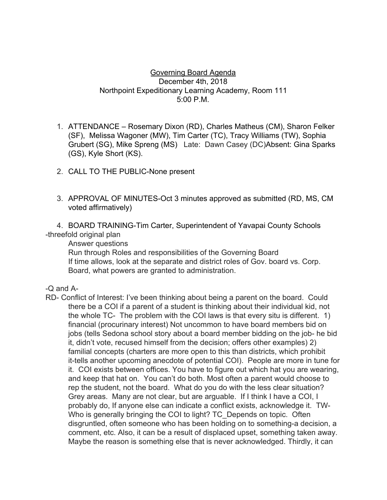## Governing Board Agenda December 4th, 2018 Northpoint Expeditionary Learning Academy, Room 111 5:00 P.M.

- 1. ATTENDANCE Rosemary Dixon (RD), Charles Matheus (CM), Sharon Felker (SF), Melissa Wagoner (MW), Tim Carter (TC), Tracy Williams (TW), Sophia Grubert (SG), Mike Spreng (MS) Late: Dawn Casey (DC)Absent: Gina Sparks (GS), Kyle Short (KS).
- 2. CALL TO THE PUBLIC-None present
- 3. APPROVAL OF MINUTES-Oct 3 minutes approved as submitted (RD, MS, CM voted affirmatively)

4. BOARD TRAINING-Tim Carter, Superintendent of Yavapai County Schools -threefold original plan

Answer questions

Run through Roles and responsibilities of the Governing Board If time allows, look at the separate and district roles of Gov. board vs. Corp. Board, what powers are granted to administration.

-Q and A-

RD- Conflict of Interest: I've been thinking about being a parent on the board. Could there be a COI if a parent of a student is thinking about their individual kid, not the whole TC- The problem with the COI laws is that every situ is different. 1) financial (procurinary interest) Not uncommon to have board members bid on jobs (tells Sedona school story about a board member bidding on the job- he bid it, didn't vote, recused himself from the decision; offers other examples) 2) familial concepts (charters are more open to this than districts, which prohibit it-tells another upcoming anecdote of potential COI). People are more in tune for it. COI exists between offices. You have to figure out which hat you are wearing, and keep that hat on. You can't do both. Most often a parent would choose to rep the student, not the board. What do you do with the less clear situation? Grey areas. Many are not clear, but are arguable. If I think I have a COI, I probably do, If anyone else can indicate a conflict exists, acknowledge it. TW-Who is generally bringing the COI to light? TC Depends on topic. Often disgruntled, often someone who has been holding on to something-a decision, a comment, etc. Also, it can be a result of displaced upset, something taken away. Maybe the reason is something else that is never acknowledged. Thirdly, it can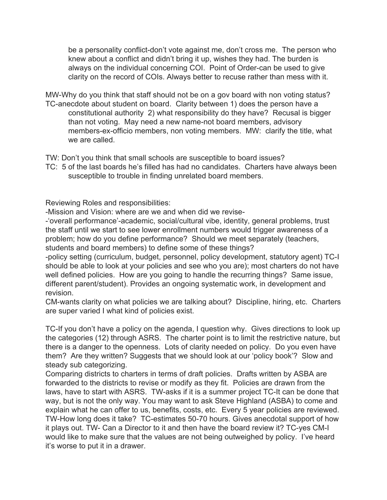be a personality conflict-don't vote against me, don't cross me. The person who knew about a conflict and didn't bring it up, wishes they had. The burden is always on the individual concerning COI. Point of Order-can be used to give clarity on the record of COIs. Always better to recuse rather than mess with it.

MW-Why do you think that staff should not be on a gov board with non voting status? TC-anecdote about student on board. Clarity between 1) does the person have a constitutional authority 2) what responsibility do they have? Recusal is bigger than not voting. May need a new name-not board members, advisory members-ex-officio members, non voting members. MW: clarify the title, what we are called.

TW: Don't you think that small schools are susceptible to board issues?

TC: 5 of the last boards he's filled has had no candidates. Charters have always been susceptible to trouble in finding unrelated board members.

Reviewing Roles and responsibilities:

-Mission and Vision: where are we and when did we revise-

-'overall performance'-academic, social/cultural vibe, identity, general problems, trust the staff until we start to see lower enrollment numbers would trigger awareness of a problem; how do you define performance? Should we meet separately (teachers, students and board members) to define some of these things?

-policy setting (curriculum, budget, personnel, policy development, statutory agent) TC-I should be able to look at your policies and see who you are); most charters do not have well defined policies. How are you going to handle the recurring things? Same issue, different parent/student). Provides an ongoing systematic work, in development and revision.

CM-wants clarity on what policies we are talking about? Discipline, hiring, etc. Charters are super varied I what kind of policies exist.

TC-If you don't have a policy on the agenda, I question why. Gives directions to look up the categories (12) through ASRS. The charter point is to limit the restrictive nature, but there is a danger to the openness. Lots of clarity needed on policy. Do you even have them? Are they written? Suggests that we should look at our 'policy book'? Slow and steady sub categorizing.

Comparing districts to charters in terms of draft policies. Drafts written by ASBA are forwarded to the districts to revise or modify as they fit. Policies are drawn from the laws, have to start with ASRS. TW-asks if it is a summer project TC-It can be done that way, but is not the only way. You may want to ask Steve Highland (ASBA) to come and explain what he can offer to us, benefits, costs, etc. Every 5 year policies are reviewed. TW-How long does it take? TC-estimates 50-70 hours. Gives anecdotal support of how it plays out. TW- Can a Director to it and then have the board review it? TC-yes CM-I would like to make sure that the values are not being outweighed by policy. I've heard it's worse to put it in a drawer.